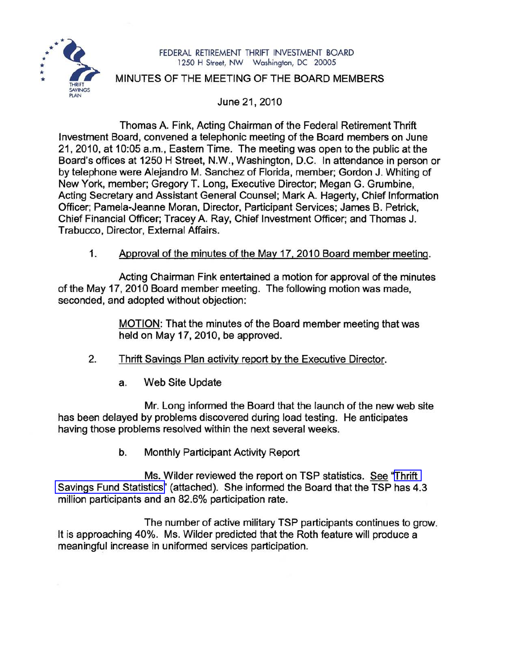

## FEDERAL RETIREMENT THRIFT INVESTMENT BOARD 1250 H Street, NW Washington, DC 20005

## MINUTES OF THE MEETING OF THE BOARD MEMBERS

June 21, 2010

Thomas A. Fink, Acting Chairman of the Federal Retirement Thrift Investment Board, convened a telephonic meeting of the Board members on June 21, 2010, at 10:05 a.m., Eastern Time. The meeting was open to the public at the Board's offices at 1250 H Street, N.W., Washington, D.C. In attendance in person or by telephone were Alejandro M. Sanchez of Florida, member; Gordon J. Whiting of New York, member; Gregory T. Long, Executive Director; Megan G. Grumbine, Acting Secretary and Assistant General Counsel; Mark A. Hagerty, Chief Information Officer; Pamela-Jeanne Moran, Director, Participant Services; James B. Petrick, Chief Financial Officer; Tracey A. Ray, Chief Investment Officer; and Thomas J. Trabucco, Director, External Affairs.

## 1. Approval of the minutes of the May 17, 2010 Board member meeting.

Acting Chairman Fink entertained a motion for approval of the minutes of the May 17, 2010 Board member meeting. The following motion was made, seconded, and adopted without objection:

> MOTION: That the minutes of the Board member meeting that was held on May 17, 2010, be approved.

- 2. Thrift Savings Plan activity report by the Executive Director.
	- a. Web Site Update

Mr. Long informed the Board that the launch of the new web site has been delayed by problems discovered during load testing. He anticipates having those problems resolved within the next several weeks.

b. Monthly Participant Activity Report

Ms. Wilder reviewed the report on TSP statistics. See ["Thrift](http://www.frtib.gov/pdf/minutes/MM-2010Jun-Att1.pdf) Savings Fund [Statistics"](http://www.frtib.gov/pdf/minutes/MM-2010Jun-Att1.pdf) (attached). She informed the Board that the TSP has 4.3 million participants and an 82.6% participation rate.

The number of active military TSP participants continues to grow. It is approaching 40%. Ms. Wilder predicted that the Roth feature will produce a meaningful increase in uniformed services participation.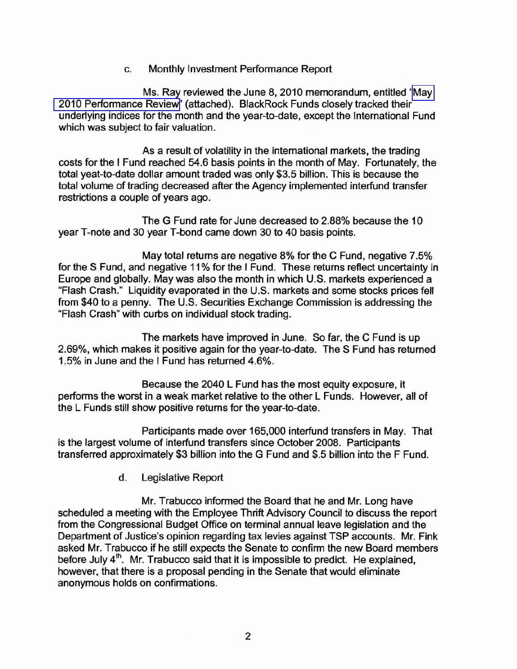c. Monthly Investment Performance Report

Ms. Ray reviewed the June 8, 2010 memorandum, entitled ["May](http://www.frtib.gov/pdf/minutes/MM-2010Jun-Att2.pdf) 2010 [Performance](http://www.frtib.gov/pdf/minutes/MM-2010Jun-Att2.pdf) Review" (attached). BlackRock Funds closely tracked their underlying indices for the month and the year-to-date, except the International Fund which was subject to fair valuation.

As a result of volatility in the international markets, the trading costs for the I Fund reached 54.6 basis points in the month of May. Fortunately, the total yeat-to-date dollar amount traded was only \$3.5 billion. This is because the total volume of trading decreased after the Agency implemented interfund transfer restrictions a couple of years ago.

The G Fund rate for June decreased to 2.88% because the 10 year T-note and 30 year T-bond came down 30 to 40 basis points.

May total returns are negative 8% for the C Fund, negative 7.5% for the S Fund, and negative 11% for the I Fund. These returns reflect uncertainty in Europe and globally. May was also the month in which U.S. markets experienced a "Flash Crash." Liquidity evaporated in the U.S. markets and some stocks prices fell from \$40 to a penny. The U.S. Securities Exchange Commission is addressing the "Flash Crash" with curbs on individual stock trading.

The markets have improved in June. So far, the C Fund is up 2.69%, which makes it positive again for the year-to-date. The S Fund has returned 1.5% in June and the I Fund has returned 4.6%.

Because the 2040 L Fund has the most equity exposure, it performs the worst in a weak market relative to the other L Funds. However, all of the L Funds still show positive returns for the year-to-date.

Participants made over 165,000 interfund transfers in May. That is the largest volume of interfund transfers since October 2008. Participants transferred approximately \$3 billion into the G Fund and \$.5 billion into the F Fund.

d. Legislative Report

Mr. Trabucco informed the Board that he and Mr. Long have scheduled a meeting with the Employee Thrift Advisory Council to discuss the report from the Congressional Budget Office on terminal annual leave legislation and the Department of Justice's opinion regarding tax levies against TSP accounts. Mr. Fink asked Mr. Trabucco if he still expects the Senate to confirm the new Board members before July  $4<sup>th</sup>$ . Mr. Trabucco said that it is impossible to predict. He explained, however, that there is a proposal pending in the Senate that would eliminate anonymous holds on confirmations.